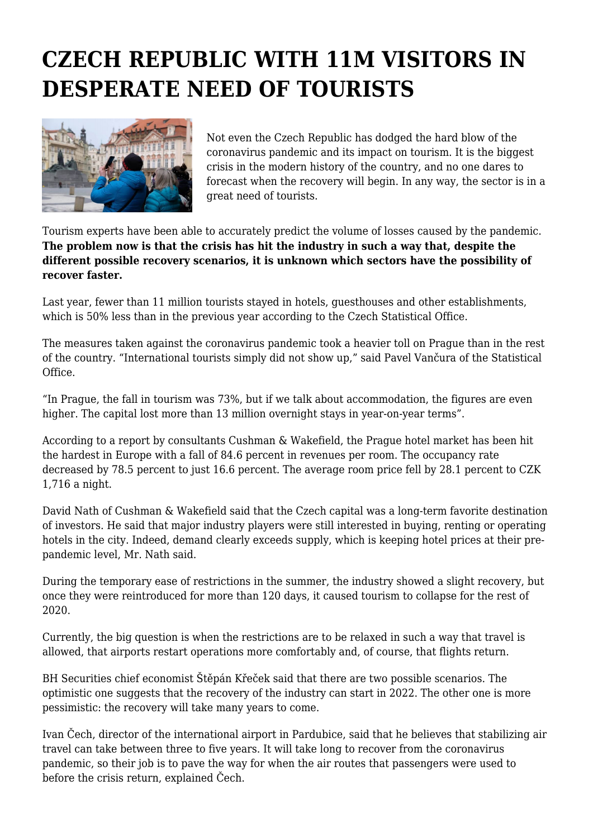## **CZECH REPUBLIC WITH 11M VISITORS IN DESPERATE NEED OF TOURISTS**



Not even the Czech Republic has dodged the hard blow of the coronavirus pandemic and its impact on tourism. It is the biggest crisis in the modern history of the country, and no one dares to forecast when the recovery will begin. In any way, the sector is in a great need of tourists.

Tourism experts have been able to accurately predict the volume of losses caused by the pandemic. **The problem now is that the crisis has hit the industry in such a way that, despite the different possible recovery scenarios, it is unknown which sectors have the possibility of recover faster.**

Last year, fewer than 11 million tourists stayed in hotels, guesthouses and other establishments, which is 50% less than in the previous year according to the Czech Statistical Office.

The measures taken against the coronavirus pandemic took a heavier toll on Prague than in the rest of the country. "International tourists simply did not show up," said Pavel Vančura of the Statistical Office.

"In Prague, the fall in tourism was 73%, but if we talk about accommodation, the figures are even higher. The capital lost more than 13 million overnight stays in year-on-year terms".

According to a report by consultants Cushman & Wakefield, the Prague hotel market has been hit the hardest in Europe with a fall of 84.6 percent in revenues per room. The occupancy rate decreased by 78.5 percent to just 16.6 percent. The average room price fell by 28.1 percent to CZK 1,716 a night.

David Nath of Cushman & Wakefield said that the Czech capital was a long-term favorite destination of investors. He said that major industry players were still interested in buying, renting or operating hotels in the city. Indeed, demand clearly exceeds supply, which is keeping hotel prices at their prepandemic level, Mr. Nath said.

During the temporary ease of restrictions in the summer, the industry showed a slight recovery, but once they were reintroduced for more than 120 days, it caused tourism to collapse for the rest of 2020.

Currently, the big question is when the restrictions are to be relaxed in such a way that travel is allowed, that airports restart operations more comfortably and, of course, that flights return.

BH Securities chief economist Štěpán Křeček said that there are two possible scenarios. The optimistic one suggests that the recovery of the industry can start in 2022. The other one is more pessimistic: the recovery will take many years to come.

Ivan Čech, director of the international airport in Pardubice, said that he believes that stabilizing air travel can take between three to five years. It will take long to recover from the coronavirus pandemic, so their job is to pave the way for when the air routes that passengers were used to before the crisis return, explained Čech.